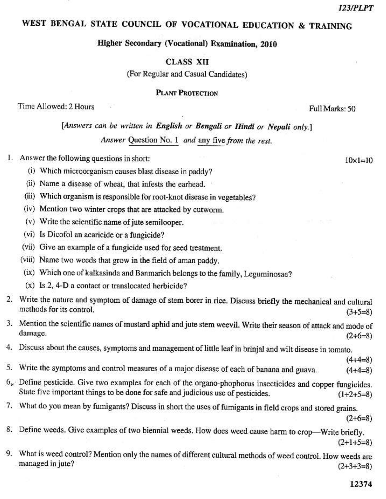## WEST BENGAL STATE COUNCIL OF VOCATIONAL EDUCATION & TRAINING

Higher Secondary (Vocational) Examination, 2010

**CLASS XII** 

(For Regular and Casual Candidates)

PLANT PROTECTION

Time Allowed: 2 Hours

[Answers can be written in English or Bengali or Hindi or Nepali only.] Answer Question No. 1 and any five from the rest.

1. Answer the following questions in short:

(i) Which microorganism causes blast disease in paddy?

(ii) Name a disease of wheat, that infests the earhead,

(iii) Which organism is responsible for root-knot disease in vegetables?

(iv) Mention two winter crops that are attacked by cutworm.

(v) Write the scientific name of jute semilooper.

(vi) Is Dicofol an acaricide or a fungicide?

(vii) Give an example of a fungicide used for seed treatment.

(viii) Name two weeds that grow in the field of aman paddy.

(ix) Which one of kalkasinda and Banmarich belongs to the family, Leguminosae?

(x) Is 2, 4-D a contact or translocated herbicide?

2. Write the nature and symptom of damage of stem borer in rice. Discuss briefly the mechanical and cultural methods for its control.  $(3+5=8)$ 

3. Mention the scientific names of mustard aphid and jute stem weevil. Write their season of attack and mode of damage.  $(2+6=8)$ 

4. Discuss about the causes, symptoms and management of little leaf in brinjal and wilt disease in tomato.

Write the symptoms and control measures of a major disease of each of banana and guava. 5.  $(4+4=8)$ 

 $6<sub>x</sub>$  Define pesticide. Give two examples for each of the organo-phophorus insecticides and copper fungicides. State five important things to be done for safe and judicious use of pesticides.  $(1+2+5=8)$ 

7. What do you mean by fumigants? Discuss in short the uses of fumigants in field crops and stored grains.

 $(2+6=8)$ 

 $(4+4=8)$ 

Define weeds. Give examples of two biennial weeds. How does weed cause harm to crop—Write briefly. 8.  $(2+1+5=8)$ 

9. What is weed control? Mention only the names of different cultural methods of weed control. How weeds are managed in jute?  $(2+3+3=8)$ 

 $10 \times 1 = 10$ 

Full Marks: 50